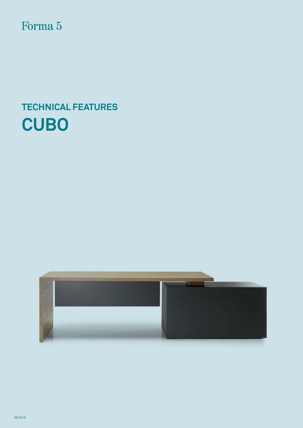Forma 5

# **TECHNICAL FEATURES CUBO**



09/2018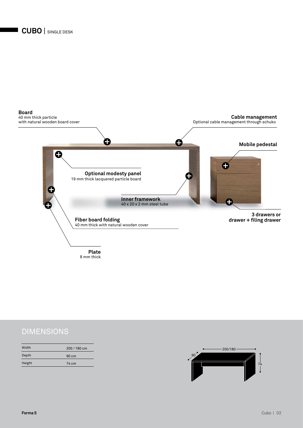

### DIMENSIONS

| Width  | 200 / 180 cm    |  |
|--------|-----------------|--|
| Depth  | $90 \text{ cm}$ |  |
| Height | 74 cm           |  |

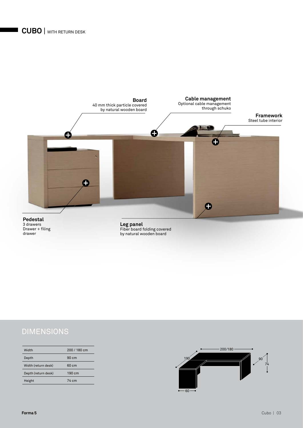

### DIMENSIONS

| Width               | 200 / 180 cm    |
|---------------------|-----------------|
| Depth               | $90 \text{ cm}$ |
| Width (return desk) | $60 \text{ cm}$ |
| Depth (return desk) | 190 cm          |
| Height              | 74 cm           |

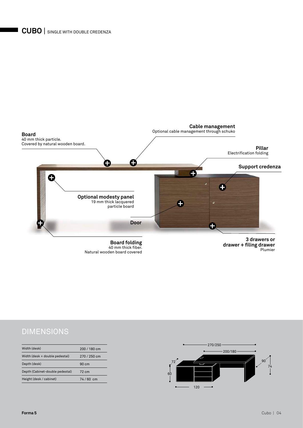

40 mm thick fiber. Natural wooden board covered **drawer + filing drawer** Plumier

### DIMENSIONS

| Width (desk)                    | 200/180 cm      |
|---------------------------------|-----------------|
| Width (desk + double pedestal)  | 270 / 250 cm    |
| Depth (desk)                    | $90 \text{ cm}$ |
| Depth (Cabinet-double pedestal) | 72 cm           |
| Height (desk / cabinet)         | $74/60$ cm      |
|                                 |                 |

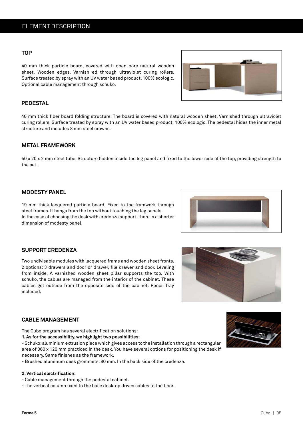#### **TOP**

40 mm thick particle board, covered with open pore natural wooden sheet. Wooden edges. Varnish ed through ultraviolet curing rollers. Surface treated by spray with an UV water based product. 100% ecologic. Optional cable management through schuko.

#### **PEDESTAL**

40 mm thick fiber board folding structure. The board is covered with natural wooden sheet. Varnished through ultraviolet curing rollers. Surface treated by spray with an UV water based product. 100% ecologic. The pedestal hides the inner metal structure and includes 8 mm steel crowns.

#### **METAL FRAMEWORK**

40 x 20 x 2 mm steel tube. Structure hidden inside the leg panel and fixed to the lower side of the top, providing strength to the set.

#### **MODESTY PANEL**

19 mm thick lacquered particle board. Fixed to the framwork through steel frames. It hangs from the top without touching the leg panels. In the case of choosing the desk with credenza support, there is a shorter dimension of modesty panel.

#### **SUPPORT CREDENZA**

Two undivisable modules with lacquered frame and wooden sheet fronts. 2 options: 3 drawers and door or drawer, file drawer and door. Leveling from inside. A varnished wooden sheet pillar supports the top. With schuko, the cables are managed from the interior of the cabinet. These cables get outside from the opposite side of the cabinet. Pencil tray included.

#### **CABLE MANAGEMENT**

The Cubo program has several electrification solutions:

**1. As for the accessibility, we highlight two possibilities:**

- Schuko: aluminium extrusion piece which gives access to the installation through a rectangular area of 360 x 120 mm practiced in the desk. You have several options for positioning the desk if necessary. Same finishes as the framework.

- Brushed aluminum desk grommets: 80 mm. In the back side of the credenza.

#### **2. Vertical electrification:**

- Cable management through the pedestal cabinet.

- The vertical column fixed to the base desktop drives cables to the floor.







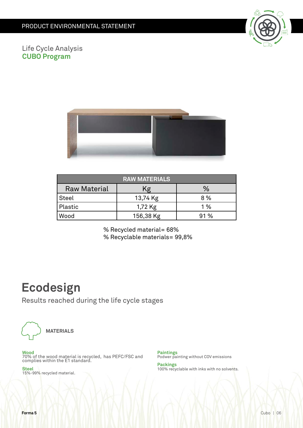

Life Cycle Analysis **CUBO Program**



| <b>RAW MATERIALS</b> |           |      |  |
|----------------------|-----------|------|--|
| <b>Raw Material</b>  | Κg        | ℅    |  |
| <b>Steel</b>         | 13,74 Kg  | 8 %  |  |
| Plastic              | 1,72 Kg   | 1%   |  |
| Wood                 | 156,38 Kg | 91 % |  |

% Recycled material= 68% % Recyclable materials= 99,8%

## **Ecodesign**

Results reached during the life cycle stages



**MATERIALS**

**Wood** 70% of the wood material is recycled, has PEFC/FSC and complies within the E1 standard.

**Steel** 15%-99% recycled material.

**Paintings** Podwer painting without COV emissions

**Packings** 100% recyclable with inks with no solvents.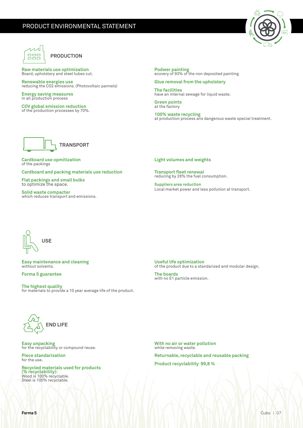

#### **PRODUCTION**

**Raw materials use optimization**  Board, upholstery and steel tubes cut.

**Renewable energies use** reducing the CO2 emissions. (Photovoltaic pannels)

**Energy saving measures** in all production process

**COV global emission reduction** of the production processes by 70%. **Podwer painting** ecovery of 93% of the non deposited painting

**Glue removal from the upholstery The facilities**  have an internal sewage for liquid waste.

**Green points**  at the factory

**100% waste recycling**  at production process ans dangerous waste special treatment.



**Cardboard use opmitization** of the packings

**Cardboard and packing materials use reduction**

**Flat packings and small bulks** to optimize the space.

**Solid waste compacter** which reduces transport and emissions. **Light volumes and weights**

**Transport fleet renewal**  reducing by 28% the fuel consumption.

**Suppliers area reduction** Local market power and less pollution at transport.



**Easy maintenance and cleaning** without solvents.

**Forma 5 guarantee**

**The highest quality** for materials to provide a 10 year average life of the product. **Useful life optimization** of the product due to a standarized and modular design.

**The boards** with no E1 particle emission.



**Easy unpacking** for the recyclability or compound reuse.

**Piece standarization** for the use.

**Recycled materials used for products (% recyclability):** Wood is 100% recyclable. Steel is 100% recyclable.

**With no air or water pollution** while removing waste.

**Returnable, recyclable and reusable packing Product recyclability 99,8 %**